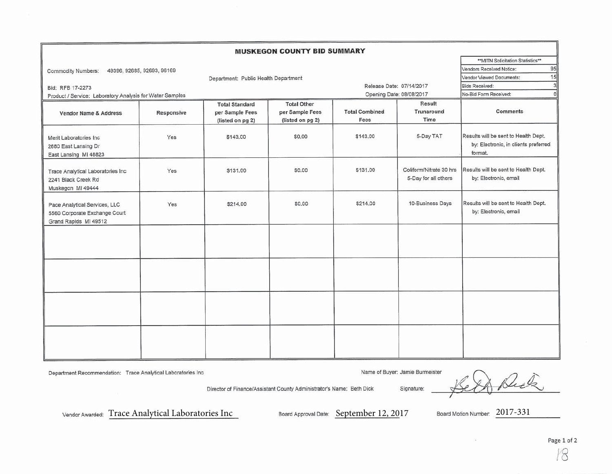| <b>MUSKEGON COUNTY BID SUMMARY</b>                                                      |                                      |                                             |                  |                            |                                                 |                                                                                         |  |  |  |  |  |
|-----------------------------------------------------------------------------------------|--------------------------------------|---------------------------------------------|------------------|----------------------------|-------------------------------------------------|-----------------------------------------------------------------------------------------|--|--|--|--|--|
|                                                                                         | ** MITN Solicitation Statistics**    |                                             |                  |                            |                                                 |                                                                                         |  |  |  |  |  |
| 49396, 92685, 92693, 96169<br>Commodity Numbers:                                        | 95<br>Vendors Received Notice:       |                                             |                  |                            |                                                 |                                                                                         |  |  |  |  |  |
|                                                                                         | 15<br>Vendor Viewed Documents:       |                                             |                  |                            |                                                 |                                                                                         |  |  |  |  |  |
| Bid: RFB 17-2273                                                                        | Department: Public Health Department | Release Date: 07/14/2017                    |                  | 3<br><b>Bids Received:</b> |                                                 |                                                                                         |  |  |  |  |  |
| Product / Service: Laboratory Analysis for Water Samples                                |                                      |                                             |                  | Opening Date: 08/08/2017   |                                                 | $\Omega$<br>No-Bid Form Received:                                                       |  |  |  |  |  |
|                                                                                         |                                      | <b>Total Other</b><br><b>Total Standard</b> |                  |                            | Result                                          |                                                                                         |  |  |  |  |  |
| <b>Vendor Name &amp; Address</b>                                                        | Responsive                           | per Sample Fees                             | per Sample Fees  | <b>Total Combined</b>      | Trunaround                                      | <b>Comments</b>                                                                         |  |  |  |  |  |
|                                                                                         |                                      | (listed on pg 2)                            | (listed on pg 2) | Fees                       | Time                                            |                                                                                         |  |  |  |  |  |
| Merit Laboratories Inc<br>2680 East Lansing Dr<br>East Lansing MI 48823                 | Yes                                  | \$143,00                                    | \$0,00           | \$143.00                   | 5-Day TAT                                       | Results will be sent to Health Dept.<br>by: Electronic, in clients preferred<br>format. |  |  |  |  |  |
| Trace Analytical Laboratories Inc<br>2241 Black Creek Rd<br>Muskegon MI 49444           | Yes                                  | \$131.00                                    | \$0.00           | \$131.00                   | Coliform/Nitrate 30 hrs<br>5-Day for all others | Results will be sent to Health Dept.<br>by: Electronic, email                           |  |  |  |  |  |
| Pace Analytical Services, LLC<br>5560 Corporate Exchange Court<br>Grand Rapids MI 49512 | Yes                                  | \$214.00                                    | \$0.00           | \$214.00                   | 10-Business Days                                | Results will be sent to Health Dept.<br>by: Electronic, email                           |  |  |  |  |  |
|                                                                                         |                                      |                                             |                  |                            |                                                 |                                                                                         |  |  |  |  |  |
|                                                                                         |                                      |                                             |                  |                            |                                                 |                                                                                         |  |  |  |  |  |
|                                                                                         |                                      |                                             |                  |                            |                                                 |                                                                                         |  |  |  |  |  |
|                                                                                         |                                      |                                             |                  |                            |                                                 |                                                                                         |  |  |  |  |  |

Director of Finance/Assistant County Administrator's Name: Beth Dick

Department Recommendation: Trace Analytical Laboratories Inc

Name of Buyer: Jamie Burmeister

Duta Signature:

Vendor Awarded: Trace Analytical Laboratories Inc

Board Approval Date: September 12, 2017

Board Motion Number: 2017-331

Page 1 of 2